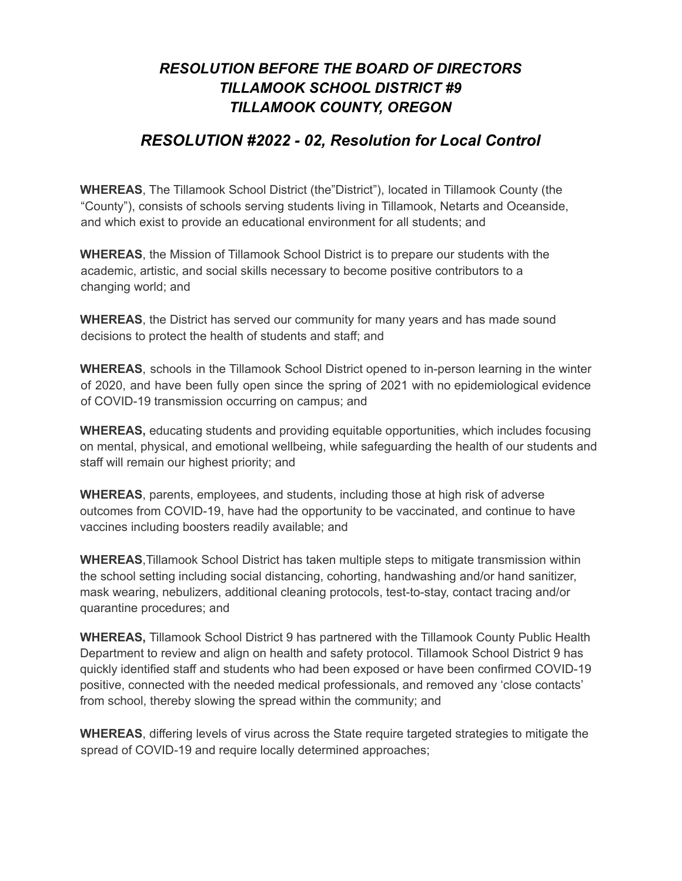## *RESOLUTION BEFORE THE BOARD OF DIRECTORS TILLAMOOK SCHOOL DISTRICT #9 TILLAMOOK COUNTY, OREGON*

## *RESOLUTION #2022 - 02, Resolution for Local Control*

**WHEREAS**, The Tillamook School District (the"District"), located in Tillamook County (the "County"), consists of schools serving students living in Tillamook, Netarts and Oceanside, and which exist to provide an educational environment for all students; and

**WHEREAS**, the Mission of Tillamook School District is to prepare our students with the academic, artistic, and social skills necessary to become positive contributors to a changing world; and

**WHEREAS**, the District has served our community for many years and has made sound decisions to protect the health of students and staff; and

**WHEREAS**, schools in the Tillamook School District opened to in-person learning in the winter of 2020, and have been fully open since the spring of 2021 with no epidemiological evidence of COVID-19 transmission occurring on campus; and

**WHEREAS,** educating students and providing equitable opportunities, which includes focusing on mental, physical, and emotional wellbeing, while safeguarding the health of our students and staff will remain our highest priority; and

**WHEREAS**, parents, employees, and students, including those at high risk of adverse outcomes from COVID-19, have had the opportunity to be vaccinated, and continue to have vaccines including boosters readily available; and

**WHEREAS**,Tillamook School District has taken multiple steps to mitigate transmission within the school setting including social distancing, cohorting, handwashing and/or hand sanitizer, mask wearing, nebulizers, additional cleaning protocols, test-to-stay, contact tracing and/or quarantine procedures; and

**WHEREAS,** Tillamook School District 9 has partnered with the Tillamook County Public Health Department to review and align on health and safety protocol. Tillamook School District 9 has quickly identified staff and students who had been exposed or have been confirmed COVID-19 positive, connected with the needed medical professionals, and removed any 'close contacts' from school, thereby slowing the spread within the community; and

**WHEREAS**, differing levels of virus across the State require targeted strategies to mitigate the spread of COVID-19 and require locally determined approaches;